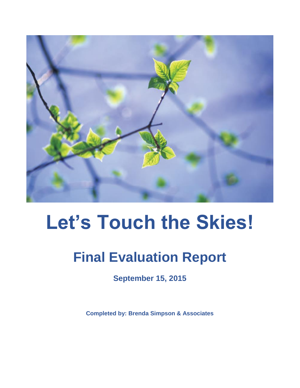

# **Let's Touch the Skies!**

# **Final Evaluation Report**

**September 15, 2015**

**Completed by: Brenda Simpson & Associates**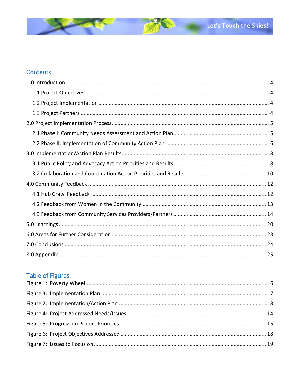# Contents

# Table of Figures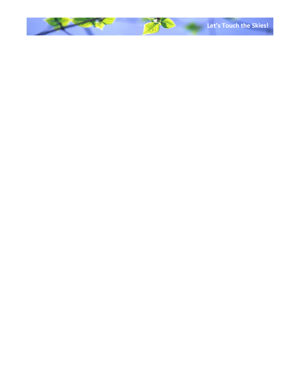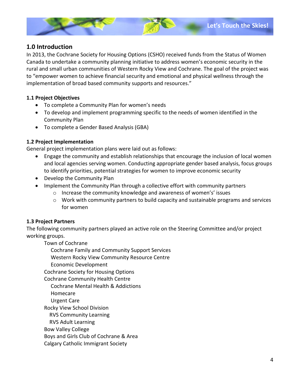# <span id="page-3-0"></span>**1.0 Introduction**

In 2013, the Cochrane Society for Housing Options (CSHO) received funds from the Status of Women Canada to undertake a community planning initiative to address women's economic security in the rural and small urban communities of Western Rocky View and Cochrane. The goal of the project was to "empower women to achieve financial security and emotional and physical wellness through the implementation of broad based community supports and resources."

#### <span id="page-3-1"></span>**1.1 Project Objectives**

- To complete a Community Plan for women's needs
- To develop and implement programming specific to the needs of women identified in the Community Plan
- To complete a Gender Based Analysis (GBA)

#### <span id="page-3-2"></span>**1.2 Project Implementation**

General project implementation plans were laid out as follows:

- Engage the community and establish relationships that encourage the inclusion of local women and local agencies serving women. Conducting appropriate gender based analysis, focus groups to identify priorities, potential strategies for women to improve economic security
- Develop the Community Plan
- Implement the Community Plan through a collective effort with community partners
	- o Increase the community knowledge and awareness of women's' issues
	- $\circ$  Work with community partners to build capacity and sustainable programs and services for women

#### <span id="page-3-3"></span>**1.3 Project Partners**

The following community partners played an active role on the Steering Committee and/or project working groups.

Town of Cochrane

 Cochrane Family and Community Support Services Western Rocky View Community Resource Centre Economic Development Cochrane Society for Housing Options Cochrane Community Health Centre Cochrane Mental Health & Addictions Homecare

Urgent Care

Rocky View School Division

RVS Community Learning

RVS Adult Learning

Bow Valley College

Boys and Girls Club of Cochrane & Area

Calgary Catholic Immigrant Society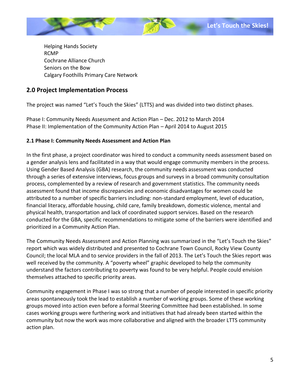Helping Hands Society RCMP Cochrane Alliance Church Seniors on the Bow Calgary Foothills Primary Care Network

# <span id="page-4-0"></span>**2.0 Project Implementation Process**

The project was named "Let's Touch the Skies" (LTTS) and was divided into two distinct phases.

Phase I: Community Needs Assessment and Action Plan – Dec. 2012 to March 2014 Phase II: Implementation of the Community Action Plan – April 2014 to August 2015

#### <span id="page-4-1"></span>**2.1 Phase I: Community Needs Assessment and Action Plan**

In the first phase, a project coordinator was hired to conduct a community needs assessment based on a gender analysis lens and facilitated in a way that would engage community members in the process. Using Gender Based Analysis (GBA) research, the community needs assessment was conducted through a series of extensive interviews, focus groups and surveys in a broad community consultation process, complemented by a review of research and government statistics. The community needs assessment found that income discrepancies and economic disadvantages for women could be attributed to a number of specific barriers including: non-standard employment, level of education, financial literacy, affordable housing, child care, family breakdown, domestic violence, mental and physical health, transportation and lack of coordinated support services. Based on the research conducted for the GBA, specific recommendations to mitigate some of the barriers were identified and prioritized in a Community Action Plan.

The Community Needs Assessment and Action Planning was summarized in the "Let's Touch the Skies" report which was widely distributed and presented to Cochrane Town Council, Rocky View County Council; the local MLA and to service providers in the fall of 2013. The Let's Touch the Skies report was well received by the community. A "poverty wheel" graphic developed to help the community understand the factors contributing to poverty was found to be very helpful. People could envision themselves attached to specific priority areas.

Community engagement in Phase I was so strong that a number of people interested in specific priority areas spontaneously took the lead to establish a number of working groups. Some of these working groups moved into action even before a formal Steering Committee had been established. In some cases working groups were furthering work and initiatives that had already been started within the community but now the work was more collaborative and aligned with the broader LTTS community action plan.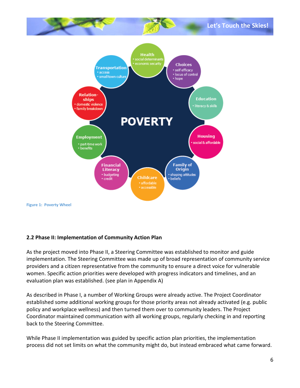

#### <span id="page-5-1"></span><span id="page-5-0"></span>**2.2 Phase II: Implementation of Community Action Plan**

As the project moved into Phase II, a Steering Committee was established to monitor and guide implementation. The Steering Committee was made up of broad representation of community service providers and a citizen representative from the community to ensure a direct voice for vulnerable women. Specific action priorities were developed with progress indicators and timelines, and an evaluation plan was established. (see plan in Appendix A)

As described in Phase I, a number of Working Groups were already active. The Project Coordinator established some additional working groups for those priority areas not already activated (e.g. public policy and workplace wellness) and then turned them over to community leaders. The Project Coordinator maintained communication with all working groups, regularly checking in and reporting back to the Steering Committee.

While Phase II implementation was guided by specific action plan priorities, the implementation process did not set limits on what the community might do, but instead embraced what came forward.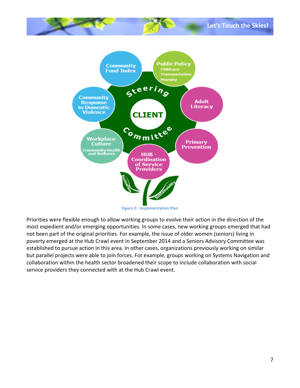

<span id="page-6-0"></span>Priorities were flexible enough to allow working groups to evolve their action in the direction of the most expedient and/or emerging opportunities. In some cases, new working groups emerged that had not been part of the original priorities. For example, the issue of older women (seniors) living in poverty emerged at the Hub Crawl event in September 2014 and a Seniors Advisory Committee was established to pursue action in this area. In other cases, organizations previously working on similar but parallel projects were able to join forces. For example, groups working on Systems Navigation and collaboration within the health sector broadened their scope to include collaboration with social service providers they connected with at the Hub Crawl event.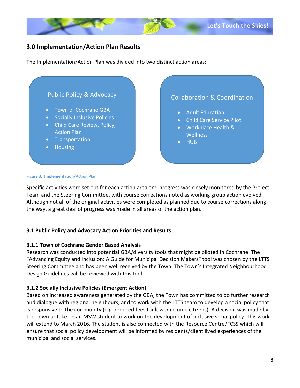# <span id="page-7-0"></span>**3.0 Implementation/Action Plan Results**

The Implementation/Action Plan was divided into two distinct action areas:



#### <span id="page-7-2"></span>**Figure 3: Implementation/Action Plan**

Specific activities were set out for each action area and progress was closely monitored by the Project Team and the Steering Committee, with course corrections noted as working group action evolved. Although not all of the original activities were completed as planned due to course corrections along the way, a great deal of progress was made in all areas of the action plan.

#### <span id="page-7-1"></span>**3.1 Public Policy and Advocacy Action Priorities and Results**

#### **3.1.1 Town of Cochrane Gender Based Analysis**

Research was conducted into potential GBA/diversity tools that might be piloted in Cochrane. The "Advancing Equity and Inclusion: A Guide for Municipal Decision Makers" tool was chosen by the LTTS Steering Committee and has been well received by the Town. The Town's Integrated Neighbourhood Design Guidelines will be reviewed with this tool.

#### **3.1.2 Socially Inclusive Policies (Emergent Action)**

Based on increased awareness generated by the GBA, the Town has committed to do further research and dialogue with regional neighbours, and to work with the LTTS team to develop a social policy that is responsive to the community (e.g. reduced fees for lower income citizens). A decision was made by the Town to take on an MSW student to work on the development of inclusive social policy. This work will extend to March 2016. The student is also connected with the Resource Centre/FCSS which will ensure that social policy development will be informed by residents/client lived experiences of the municipal and social services.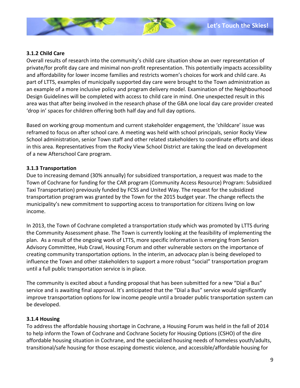#### **3.1.2 Child Care**

Overall results of research into the community's child care situation show an over representation of private/for profit day care and minimal non-profit representation. This potentially impacts accessibility and affordability for lower income families and restricts women's choices for work and child care. As part of LTTS, examples of municipally supported day care were brought to the Town administration as an example of a more inclusive policy and program delivery model. Examination of the Neighbourhood Design Guidelines will be completed with access to child care in mind. One unexpected result in this area was that after being involved in the research phase of the GBA one local day care provider created 'drop in' spaces for children offering both half day and full day options.

Based on working group momentum and current stakeholder engagement, the 'childcare' issue was reframed to focus on after school care. A meeting was held with school principals, senior Rocky View School administration, senior Town staff and other related stakeholders to coordinate efforts and ideas in this area. Representatives from the Rocky View School District are taking the lead on development of a new Afterschool Care program.

#### **3.1.3 Transportation**

Due to increasing demand (30% annually) for subsidized transportation, a request was made to the Town of Cochrane for funding for the CAR program (Community Access Resource) Program: Subsidized Taxi Transportation) previously funded by FCSS and United Way. The request for the subsidized transportation program was granted by the Town for the 2015 budget year. The change reflects the municipality's new commitment to supporting access to transportation for citizens living on low income.

In 2013, the Town of Cochrane completed a transportation study which was promoted by LTTS during the Community Assessment phase. The Town is currently looking at the feasibility of implementing the plan. As a result of the ongoing work of LTTS, more specific information is emerging from Seniors Advisory Committee, Hub Crawl, Housing Forum and other vulnerable sectors on the importance of creating community transportation options. In the interim, an advocacy plan is being developed to influence the Town and other stakeholders to support a more robust "social" transportation program until a full public transportation service is in place.

The community is excited about a funding proposal that has been submitted for a new "Dial a Bus" service and is awaiting final approval. It's anticipated that the "Dial a Bus" service would significantly improve transportation options for low income people until a broader public transportation system can be developed.

#### **3.1.4 Housing**

To address the affordable housing shortage in Cochrane, a Housing Forum was held in the fall of 2014 to help inform the Town of Cochrane and Cochrane Society for Housing Options (CSHO) of the dire affordable housing situation in Cochrane, and the specialized housing needs of homeless youth/adults, transitional/safe housing for those escaping domestic violence, and accessible/affordable housing for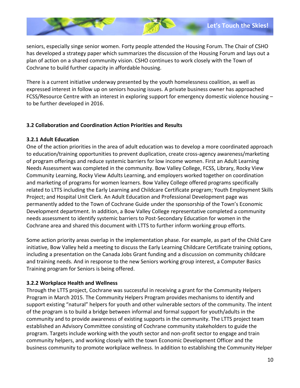seniors, especially singe senior women. Forty people attended the Housing Forum. The Chair of CSHO has developed a strategy paper which summarizes the discussion of the Housing Forum and lays out a plan of action on a shared community vision. CSHO continues to work closely with the Town of Cochrane to build further capacity in affordable housing.

There is a current initiative underway presented by the youth homelessness coalition, as well as expressed interest in follow up on seniors housing issues. A private business owner has approached FCSS/Resource Centre with an interest in exploring support for emergency domestic violence housing – to be further developed in 2016.

#### <span id="page-9-0"></span>**3.2 Collaboration and Coordination Action Priorities and Results**

#### **3.2.1 Adult Education**

One of the action priorities in the area of adult education was to develop a more coordinated approach to education/training opportunities to prevent duplication, create cross-agency awareness/marketing of program offerings and reduce systemic barriers for low income women. First an Adult Learning Needs Assessment was completed in the community. Bow Valley College, FCSS, Library, Rocky View Community Learning, Rocky View Adults Learning, and employers worked together on coordination and marketing of programs for women learners. Bow Valley College offered programs specifically related to LTTS including the Early Learning and Childcare Certificate program; Youth Employment Skills Project; and Hospital Unit Clerk. An Adult Education and Professional Development page was permanently added to the Town of Cochrane Guide under the sponsorship of the Town's Economic Development department. In addition, a Bow Valley College representative completed a community needs assessment to identify systemic barriers to Post-Secondary Education for women in the Cochrane area and shared this document with LTTS to further inform working group efforts.

Some action priority areas overlap in the implementation phase. For example, as part of the Child Care initiative, Bow Valley held a meeting to discuss the Early Learning Childcare Certificate training options, including a presentation on the Canada Jobs Grant funding and a discussion on community childcare and training needs. And in response to the new Seniors working group interest, a Computer Basics Training program for Seniors is being offered.

#### **3.2.2 Workplace Health and Wellness**

Through the LTTS project, Cochrane was successful in receiving a grant for the Community Helpers Program in March 2015. The Community Helpers Program provides mechanisms to identify and support existing "natural" helpers for youth and other vulnerable sectors of the community. The intent of the program is to build a bridge between informal and formal support for youth/adults in the community and to provide awareness of existing supports in the community. The LTTS project team established an Advisory Committee consisting of Cochrane community stakeholders to guide the program. Targets include working with the youth sector and non-profit sector to engage and train community helpers, and working closely with the town Economic Development Officer and the business community to promote workplace wellness. In addition to establishing the Community Helper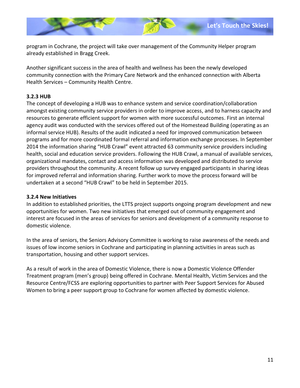program in Cochrane, the project will take over management of the Community Helper program already established in Bragg Creek.

Another significant success in the area of health and wellness has been the newly developed community connection with the Primary Care Network and the enhanced connection with Alberta Health Services – Community Health Centre.

#### **3.2.3 HUB**

The concept of developing a HUB was to enhance system and service coordination/collaboration amongst existing community service providers in order to improve access, and to harness capacity and resources to generate efficient support for women with more successful outcomes. First an internal agency audit was conducted with the services offered out of the Homestead Building (operating as an informal service HUB). Results of the audit indicated a need for improved communication between programs and for more coordinated formal referral and information exchange processes. In September 2014 the information sharing "HUB Crawl" event attracted 63 community service providers including health, social and education service providers. Following the HUB Crawl, a manual of available services, organizational mandates, contact and access information was developed and distributed to service providers throughout the community. A recent follow up survey engaged participants in sharing ideas for improved referral and information sharing. Further work to move the process forward will be undertaken at a second "HUB Crawl" to be held in September 2015.

#### **3.2.4 New Initiatives**

In addition to established priorities, the LTTS project supports ongoing program development and new opportunities for women. Two new initiatives that emerged out of community engagement and interest are focused in the areas of services for seniors and development of a community response to domestic violence.

In the area of seniors, the Seniors Advisory Committee is working to raise awareness of the needs and issues of low income seniors in Cochrane and participating in planning activities in areas such as transportation, housing and other support services.

As a result of work in the area of Domestic Violence, there is now a Domestic Violence Offender Treatment program (men's group) being offered in Cochrane. Mental Health, Victim Services and the Resource Centre/FCSS are exploring opportunities to partner with Peer Support Services for Abused Women to bring a peer support group to Cochrane for women affected by domestic violence.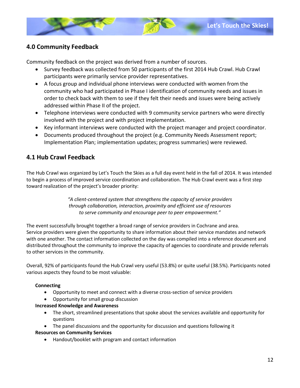

# <span id="page-11-0"></span>**4.0 Community Feedback**

Community feedback on the project was derived from a number of sources.

- Survey feedback was collected from 50 participants of the first 2014 Hub Crawl. Hub Crawl participants were primarily service provider representatives.
- A focus group and individual phone interviews were conducted with women from the community who had participated in Phase I identification of community needs and issues in order to check back with them to see if they felt their needs and issues were being actively addressed within Phase II of the project.
- Telephone interviews were conducted with 9 community service partners who were directly involved with the project and with project implementation.
- Key informant interviews were conducted with the project manager and project coordinator.
- Documents produced throughout the project (e.g. Community Needs Assessment report; Implementation Plan; implementation updates; progress summaries) were reviewed.

# <span id="page-11-1"></span>**4.1 Hub Crawl Feedback**

The Hub Crawl was organized by Let's Touch the Skies as a full day event held in the fall of 2014. It was intended to begin a process of improved service coordination and collaboration. The Hub Crawl event was a first step toward realization of the project's broader priority:

> *"A client-centered system that strengthens the capacity of service providers through collaboration, interaction, proximity and efficient use of resources to serve community and encourage peer to peer empowerment."*

The event successfully brought together a broad range of service providers in Cochrane and area. Service providers were given the opportunity to share information about their service mandates and network with one another. The contact information collected on the day was compiled into a reference document and distributed throughout the community to improve the capacity of agencies to coordinate and provide referrals to other services in the community.

Overall, 92% of participants found the Hub Crawl very useful (53.8%) or quite useful (38.5%). Participants noted various aspects they found to be most valuable:

#### **Connecting**

- Opportunity to meet and connect with a diverse cross-section of service providers
- Opportunity for small group discussion

#### **Increased Knowledge and Awareness**

- The short, streamlined presentations that spoke about the services available and opportunity for questions
- The panel discussions and the opportunity for discussion and questions following it

#### **Resources on Community Services**

Handout/booklet with program and contact information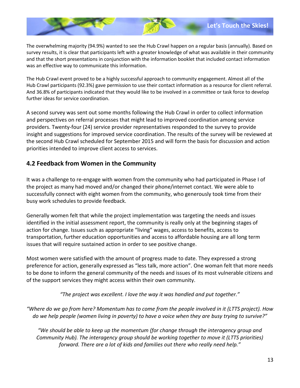The overwhelming majority (94.9%) wanted to see the Hub Crawl happen on a regular basis (annually). Based on survey results, it is clear that participants left with a greater knowledge of what was available in their community and that the short presentations in conjunction with the information booklet that included contact information was an effective way to communicate this information.

The Hub Crawl event proved to be a highly successful approach to community engagement. Almost all of the Hub Crawl participants (92.3%) gave permission to use their contact information as a resource for client referral. And 36.8% of participants indicated that they would like to be involved in a committee or task force to develop further ideas for service coordination.

A second survey was sent out some months following the Hub Crawl in order to collect information and perspectives on referral processes that might lead to improved coordination among service providers. Twenty-four (24) service provider representatives responded to the survey to provide insight and suggestions for improved service coordination. The results of the survey will be reviewed at the second Hub Crawl scheduled for September 2015 and will form the basis for discussion and action priorities intended to improve client access to services.

# <span id="page-12-0"></span>**4.2 Feedback from Women in the Community**

It was a challenge to re-engage with women from the community who had participated in Phase I of the project as many had moved and/or changed their phone/internet contact. We were able to successfully connect with eight women from the community, who generously took time from their busy work schedules to provide feedback.

Generally women felt that while the project implementation was targeting the needs and issues identified in the initial assessment report, the community is really only at the beginning stages of action for change. Issues such as appropriate "living" wages, access to benefits, access to transportation, further education opportunities and access to affordable housing are all long term issues that will require sustained action in order to see positive change.

Most women were satisfied with the amount of progress made to date. They expressed a strong preference for action, generally expressed as "less talk, more action". One woman felt that more needs to be done to inform the general community of the needs and issues of its most vulnerable citizens and of the support services they might access within their own community.

*"The project was excellent. I love the way it was handled and put together."*

*"Where do we go from here? Momentum has to come from the people involved in it (LTTS project). How do we help people (women living in poverty) to have a voice when they are busy trying to survive?"*

*"We should be able to keep up the momentum (for change through the interagency group and Community Hub). The interagency group should be working together to move it (LTTS priorities) forward. There are a lot of kids and families out there who really need help."*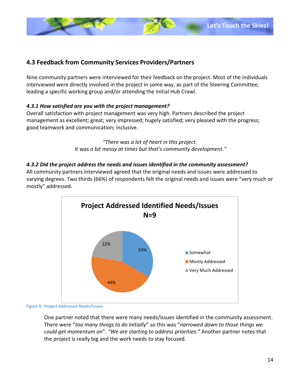# <span id="page-13-0"></span>**4.3 Feedback from Community Services Providers/Partners**

Nine community partners were interviewed for their feedback on the project. Most of the individuals interviewed were directly involved in the project in some way, as part of the Steering Committee, leading a specific working group and/or attending the initial Hub Crawl.

#### *4.3.1 How satisfied are you with the project management?*

Overall satisfaction with project management was very high. Partners described the project management as excellent; great; very impressed; hugely satisfied; very pleased with the progress; good teamwork and communication; inclusive.

> *"There was a lot of heart in this project. It was a bit messy at times but that's community development."*

#### *4.3.2 Did the project address the needs and issues identified in the community assessment?*

All community partners interviewed agreed that the original needs and issues were addressed to varying degrees. Two thirds (66%) of respondents felt the original needs and issues were "very much or mostly" addressed.



<span id="page-13-1"></span>**Figure 4: Project Addressed Needs/Issues**

One partner noted that there were many needs/issues identified in the community assessment. There were "*too many things to do initially*" so this was "*narrowed down to those things we could get momentum on*". *"We are starting to address priorities."* Another partner notes that the project is really big and the work needs to stay focused.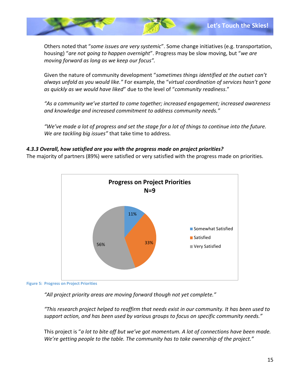Others noted that "*some issues are very systemic*". Some change initiatives (e.g. transportation, housing) "*are not going to happen overnight*". Progress may be slow moving, but "*we are moving forward as long as we keep our focus".* 

Given the nature of community development "*sometimes things identified at the outset can't always unfold as you would like."* For example, the "*virtual coordination of services hasn't gone as quickly as we would have liked*" due to the level of "*community readiness*."

*"As a community we've started to come together; increased engagement; increased awareness and knowledge and increased commitment to address community needs."*

*"We've made a lot of progress and set the stage for a lot of things to continue into the future. We are tackling big issues"* that take time to address*.*

#### *4.3.3 Overall, how satisfied are you with the progress made on project priorities?*

The majority of partners (89%) were satisfied or very satisfied with the progress made on priorities.



<span id="page-14-0"></span>

*"All project priority areas are moving forward though not yet complete."*

*"This research project helped to reaffirm that needs exist in our community. It has been used to support action, and has been used by various groups to focus on specific community needs."*

This project is "*a lot to bite off but we've got momentum. A lot of connections have been made. We're getting people to the table. The community has to take ownership of the project."*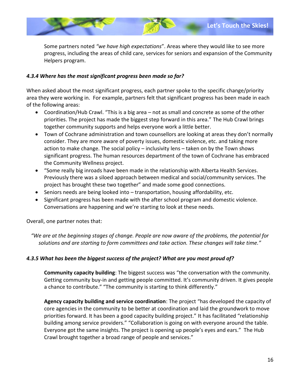Some partners noted *"we have high expectations*". Areas where they would like to see more progress, including the areas of child care, services for seniors and expansion of the Community Helpers program.

#### *4.3.4 Where has the most significant progress been made so far?*

When asked about the most significant progress, each partner spoke to the specific change/priority area they were working in. For example, partners felt that significant progress has been made in each of the following areas:

- Coordination/Hub Crawl. "This is a big area not as small and concrete as some of the other priorities. The project has made the biggest step forward in this area." The Hub Crawl brings together community supports and helps everyone work a little better.
- Town of Cochrane administration and town counsellors are looking at areas they don't normally consider. They are more aware of poverty issues, domestic violence, etc. and taking more action to make change. The social policy – inclusivity lens – taken on by the Town shows significant progress. The human resources department of the town of Cochrane has embraced the Community Wellness project.
- "Some really big inroads have been made in the relationship with Alberta Health Services. Previously there was a siloed approach between medical and social/community services. The project has brought these two together" and made some good connections.
- Seniors needs are being looked into transportation, housing affordability, etc.
- Significant progress has been made with the after school program and domestic violence. Conversations are happening and we're starting to look at these needs.

Overall, one partner notes that:

*"We are at the beginning stages of change. People are now aware of the problems, the potential for solutions and are starting to form committees and take action. These changes will take time."*

#### *4.3.5 What has been the biggest success of the project? What are you most proud of?*

**Community capacity building**: The biggest success was "the conversation with the community. Getting community buy-in and getting people committed. It's community driven. It gives people a chance to contribute." "The community is starting to think differently."

**Agency capacity building and service coordination**: The project "has developed the capacity of core agencies in the community to be better at coordination and laid the groundwork to move priorities forward. It has been a good capacity building project." It has facilitated "relationship building among service providers." "Collaboration is going on with everyone around the table. Everyone got the same insights. The project is opening up people's eyes and ears." The Hub Crawl brought together a broad range of people and services."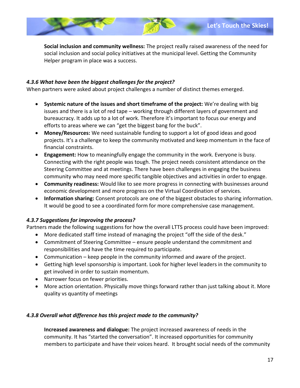**Social inclusion and community wellness:** The project really raised awareness of the need for social inclusion and social policy initiatives at the municipal level. Getting the Community Helper program in place was a success.

#### *4.3.6 What have been the biggest challenges for the project?*

When partners were asked about project challenges a number of distinct themes emerged.

- **Systemic nature of the issues and short timeframe of the project:** We're dealing with big issues and there is a lot of red tape – working through different layers of government and bureaucracy. It adds up to a lot of work. Therefore it's important to focus our energy and efforts to areas where we can "get the biggest bang for the buck".
- **Money/Resources:** We need sustainable funding to support a lot of good ideas and good projects. It's a challenge to keep the community motivated and keep momentum in the face of financial constraints.
- **Engagement:** How to meaningfully engage the community in the work. Everyone is busy. Connecting with the right people was tough. The project needs consistent attendance on the Steering Committee and at meetings. There have been challenges in engaging the business community who may need more specific tangible objectives and activities in order to engage.
- **Community readiness:** Would like to see more progress in connecting with businesses around economic development and more progress on the Virtual Coordination of services.
- **Information sharing:** Consent protocols are one of the biggest obstacles to sharing information. It would be good to see a coordinated form for more comprehensive case management.

#### *4.3.7 Suggestions for improving the process?*

Partners made the following suggestions for how the overall LTTS process could have been improved:

- More dedicated staff time instead of managing the project "off the side of the desk."
- Commitment of Steering Committee ensure people understand the commitment and responsibilities and have the time required to participate.
- Communication keep people in the community informed and aware of the project.
- Getting high level sponsorship is important. Look for higher level leaders in the community to get involved in order to sustain momentum.
- Narrower focus on fewer priorities.
- More action orientation. Physically move things forward rather than just talking about it. More quality vs quantity of meetings

#### *4.3.8 Overall what difference has this project made to the community?*

**Increased awareness and dialogue:** The project increased awareness of needs in the community. It has "started the conversation". It increased opportunities for community members to participate and have their voices heard. It brought social needs of the community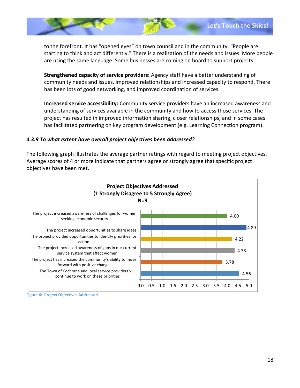to the forefront. It has "opened eyes" on town council and in the community. "People are starting to think and act differently." There is a realization of the needs and issues. More people are using the same language. Some businesses are coming on board to support projects.

**Strengthened capacity of service providers:** Agency staff have a better understanding of community needs and issues, improved relationships and increased capacity to respond. There has been lots of good networking, and improved coordination of services.

**Increased service accessibility:** Community service providers have an increased awareness and understanding of services available in the community and how to access those services. The project has resulted in improved information sharing, closer relationships, and in some cases has facilitated partnering on key program development (e.g. Learning Connection program).

#### *4.3.9 To what extent have overall project objectives been addressed?*

The following graph illustrates the average partner ratings with regard to meeting project objectives. Average scores of 4 or more indicate that partners agree or strongly agree that specific project objectives have been met.



<span id="page-17-0"></span>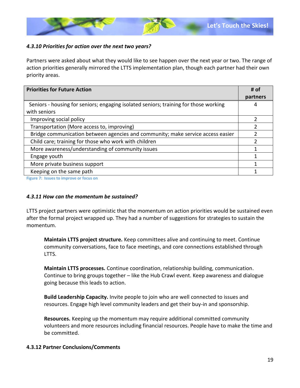

#### *4.3.10 Priorities for action over the next two years?*

Partners were asked about what they would like to see happen over the next year or two. The range of action priorities generally mirrored the LTTS implementation plan, though each partner had their own priority areas.

| <b>Priorities for Future Action</b>                                                  | # of          |
|--------------------------------------------------------------------------------------|---------------|
|                                                                                      | partners      |
| Seniors - housing for seniors; engaging isolated seniors; training for those working | 4             |
| with seniors                                                                         |               |
| Improving social policy                                                              | 2             |
| Transportation (More access to, improving)                                           | 2             |
| Bridge communication between agencies and community; make service access easier      | 2             |
| Child care; training for those who work with children                                | $\mathcal{P}$ |
| More awareness/understanding of community issues                                     | 1             |
| Engage youth                                                                         |               |
| More private business support                                                        |               |
| Keeping on the same path                                                             |               |

<span id="page-18-0"></span>**Figure 7: Issues to improve or focus on**

#### *4.3.11 How can the momentum be sustained?*

LTTS project partners were optimistic that the momentum on action priorities would be sustained even after the formal project wrapped up. They had a number of suggestions for strategies to sustain the momentum.

**Maintain LTTS project structure.** Keep committees alive and continuing to meet. Continue community conversations, face to face meetings, and core connections established through LTTS.

**Maintain LTTS processes.** Continue coordination, relationship building, communication. Continue to bring groups together – like the Hub Crawl event. Keep awareness and dialogue going because this leads to action.

**Build Leadership Capacity.** Invite people to join who are well connected to issues and resources. Engage high level community leaders and get their buy-in and sponsorship.

**Resources.** Keeping up the momentum may require additional committed community volunteers and more resources including financial resources. People have to make the time and be committed.

#### **4.3.12 Partner Conclusions/Comments**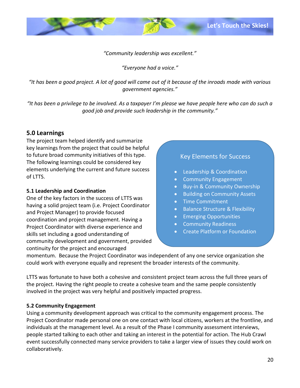*"Community leadership was excellent."*

*"Everyone had a voice."*

*"It has been a good project. A lot of good will came out of it because of the inroads made with various government agencies."*

*"It has been a privilege to be involved. As a taxpayer I'm please we have people here who can do such a good job and provide such leadership in the community."*

# <span id="page-19-0"></span>**5.0 Learnings**

The project team helped identify and summarize key learnings from the project that could be helpful to future broad community initiatives of this type. The following learnings could be considered key elements underlying the current and future success of LTTS.

#### **5.1 Leadership and Coordination**

One of the key factors in the success of LTTS was having a solid project team (i.e. Project Coordinator and Project Manager) to provide focused coordination and project management. Having a Project Coordinator with diverse experience and skills set including a good understanding of community development and government, provided continuity for the project and encouraged

# Key Elements for Success

- Leadership & Coordination
- Community Engagement
- Buy-in & Community Ownership
- Building on Community Assets
- Time Commitment
- Balance Structure & Flexibility
- **•** Emerging Opportunities
- **•** Community Readiness
- Create Platform or Foundation

momentum. Because the Project Coordinator was independent of any one service organization she could work with everyone equally and represent the broader interests of the community.

LTTS was fortunate to have both a cohesive and consistent project team across the full three years of the project. Having the right people to create a cohesive team and the same people consistently involved in the project was very helpful and positively impacted progress.

#### **5.2 Community Engagement**

Using a community development approach was critical to the community engagement process. The Project Coordinator made personal one on one contact with local citizens, workers at the frontline, and individuals at the management level. As a result of the Phase I community assessment interviews, people started talking to each other and taking an interest in the potential for action. The Hub Crawl event successfully connected many service providers to take a larger view of issues they could work on collaboratively.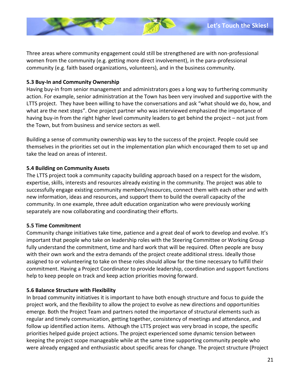Three areas where community engagement could still be strengthened are with non-professional women from the community (e.g. getting more direct involvement), in the para-professional community (e.g. faith based organizations, volunteers), and in the business community.

#### **5.3 Buy-In and Community Ownership**

Having buy-in from senior management and administrators goes a long way to furthering community action. For example, senior administration at the Town has been very involved and supportive with the LTTS project. They have been willing to have the conversations and ask "what should we do, how, and what are the next steps". One project partner who was interviewed emphasized the importance of having buy-in from the right higher level community leaders to get behind the project – not just from the Town, but from business and service sectors as well.

Building a sense of community ownership was key to the success of the project. People could see themselves in the priorities set out in the implementation plan which encouraged them to set up and take the lead on areas of interest.

#### **5.4 Building on Community Assets**

The LTTS project took a community capacity building approach based on a respect for the wisdom, expertise, skills, interests and resources already existing in the community. The project was able to successfully engage existing community members/resources, connect them with each other and with new information, ideas and resources, and support them to build the overall capacity of the community. In one example, three adult education organization who were previously working separately are now collaborating and coordinating their efforts.

#### **5.5 Time Commitment**

Community change initiatives take time, patience and a great deal of work to develop and evolve. It's important that people who take on leadership roles with the Steering Committee or Working Group fully understand the commitment, time and hard work that will be required. Often people are busy with their own work and the extra demands of the project create additional stress. Ideally those assigned to or volunteering to take on these roles should allow for the time necessary to fulfill their commitment. Having a Project Coordinator to provide leadership, coordination and support functions help to keep people on track and keep action priorities moving forward.

#### **5.6 Balance Structure with Flexibility**

In broad community initiatives it is important to have both enough structure and focus to guide the project work, and the flexibility to allow the project to evolve as new directions and opportunities emerge. Both the Project Team and partners noted the importance of structural elements such as regular and timely communication, getting together, consistency of meetings and attendance, and follow up identified action items. Although the LTTS project was very broad in scope, the specific priorities helped guide project actions. The project experienced some dynamic tension between keeping the project scope manageable while at the same time supporting community people who were already engaged and enthusiastic about specific areas for change. The project structure (Project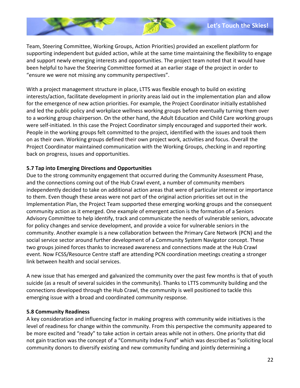Team, Steering Committee, Working Groups, Action Priorities) provided an excellent platform for supporting independent but guided action, while at the same time maintaining the flexibility to engage and support newly emerging interests and opportunities. The project team noted that it would have been helpful to have the Steering Committee formed at an earlier stage of the project in order to "ensure we were not missing any community perspectives".

With a project management structure in place, LTTS was flexible enough to build on existing interests/action, facilitate development in priority areas laid out in the implementation plan and allow for the emergence of new action priorities. For example, the Project Coordinator initially established and led the public policy and workplace wellness working groups before eventually turning them over to a working group chairperson. On the other hand, the Adult Education and Child Care working groups were self-initiated. In this case the Project Coordinator simply encouraged and supported their work. People in the working groups felt committed to the project, identified with the issues and took them on as their own. Working groups defined their own project work, activities and focus. Overall the Project Coordinator maintained communication with the Working Groups, checking in and reporting back on progress, issues and opportunities.

#### **5.7 Tap into Emerging Directions and Opportunities**

Due to the strong community engagement that occurred during the Community Assessment Phase, and the connections coming out of the Hub Crawl event, a number of community members independently decided to take on additional action areas that were of particular interest or importance to them. Even though these areas were not part of the original action priorities set out in the Implementation Plan, the Project Team supported these emerging working groups and the consequent community action as it emerged. One example of emergent action is the formation of a Seniors Advisory Committee to help identify, track and communicate the needs of vulnerable seniors, advocate for policy changes and service development, and provide a voice for vulnerable seniors in the community. Another example is a new collaboration between the Primary Care Network (PCN) and the social service sector around further development of a Community System Navigator concept. These two groups joined forces thanks to increased awareness and connections made at the Hub Crawl event. Now FCSS/Resource Centre staff are attending PCN coordination meetings creating a stronger link between health and social services.

A new issue that has emerged and galvanized the community over the past few months is that of youth suicide (as a result of several suicides in the community). Thanks to LTTS community building and the connections developed through the Hub Crawl, the community is well positioned to tackle this emerging issue with a broad and coordinated community response.

#### **5.8 Community Readiness**

A key consideration and influencing factor in making progress with community wide initiatives is the level of readiness for change within the community. From this perspective the community appeared to be more excited and "ready" to take action in certain areas while not in others. One priority that did not gain traction was the concept of a "Community Index Fund" which was described as "soliciting local community donors to diversify existing and new community funding and jointly determining a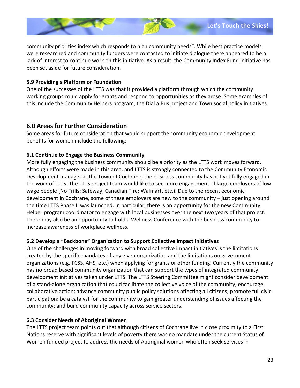

community priorities index which responds to high community needs". While best practice models were researched and community funders were contacted to initiate dialogue there appeared to be a lack of interest to continue work on this initiative. As a result, the Community Index Fund initiative has been set aside for future consideration.

#### **5.9 Providing a Platform or Foundation**

One of the successes of the LTTS was that it provided a platform through which the community working groups could apply for grants and respond to opportunities as they arose. Some examples of this include the Community Helpers program, the Dial a Bus project and Town social policy initiatives.

# <span id="page-22-0"></span>**6.0 Areas for Further Consideration**

Some areas for future consideration that would support the community economic development benefits for women include the following:

#### **6.1 Continue to Engage the Business Community**

More fully engaging the business community should be a priority as the LTTS work moves forward. Although efforts were made in this area, and LTTS is strongly connected to the Community Economic Development manager at the Town of Cochrane, the business community has not yet fully engaged in the work of LTTS. The LTTS project team would like to see more engagement of large employers of low wage people (No Frills; Safeway; Canadian Tire; Walmart, etc.). Due to the recent economic development in Cochrane, some of these employers are new to the community – just opening around the time LTTS Phase II was launched. In particular, there is an opportunity for the new Community Helper program coordinator to engage with local businesses over the next two years of that project. There may also be an opportunity to hold a Wellness Conference with the business community to increase awareness of workplace wellness.

#### **6.2 Develop a "Backbone" Organization to Support Collective Impact Initiatives**

One of the challenges in moving forward with broad collective impact initiatives is the limitations created by the specific mandates of any given organization and the limitations on government organizations (e.g. FCSS, AHS, etc.) when applying for grants or other funding. Currently the community has no broad based community organization that can support the types of integrated community development initiatives taken under LTTS. The LTTS Steering Committee might consider development of a stand-alone organization that could facilitate the collective voice of the community; encourage collaborative action; advance community public policy solutions affecting all citizens; promote full civic participation; be a catalyst for the community to gain greater understanding of issues affecting the community; and build community capacity across service sectors.

#### **6.3 Consider Needs of Aboriginal Women**

The LTTS project team points out that although citizens of Cochrane live in close proximity to a First Nations reserve with significant levels of poverty there was no mandate under the current Status of Women funded project to address the needs of Aboriginal women who often seek services in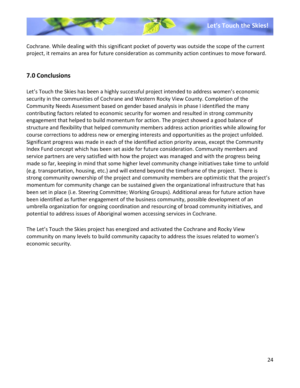Cochrane. While dealing with this significant pocket of poverty was outside the scope of the current project, it remains an area for future consideration as community action continues to move forward.

# <span id="page-23-0"></span>**7.0 Conclusions**

Let's Touch the Skies has been a highly successful project intended to address women's economic security in the communities of Cochrane and Western Rocky View County. Completion of the Community Needs Assessment based on gender based analysis in phase I identified the many contributing factors related to economic security for women and resulted in strong community engagement that helped to build momentum for action. The project showed a good balance of structure and flexibility that helped community members address action priorities while allowing for course corrections to address new or emerging interests and opportunities as the project unfolded. Significant progress was made in each of the identified action priority areas, except the Community Index Fund concept which has been set aside for future consideration. Community members and service partners are very satisfied with how the project was managed and with the progress being made so far, keeping in mind that some higher level community change initiatives take time to unfold (e.g. transportation, housing, etc.) and will extend beyond the timeframe of the project. There is strong community ownership of the project and community members are optimistic that the project's momentum for community change can be sustained given the organizational infrastructure that has been set in place (i.e. Steering Committee; Working Groups). Additional areas for future action have been identified as further engagement of the business community, possible development of an umbrella organization for ongoing coordination and resourcing of broad community initiatives, and potential to address issues of Aboriginal women accessing services in Cochrane.

<span id="page-23-1"></span>The Let's Touch the Skies project has energized and activated the Cochrane and Rocky View community on many levels to build community capacity to address the issues related to women's economic security.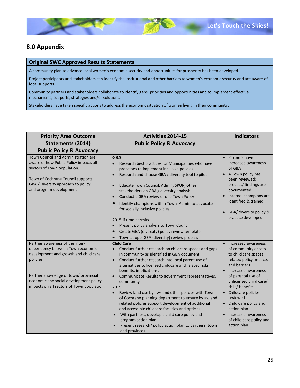# **8.0 Appendix**

#### **Original SWC Approved Results Statements**

A community plan to advance local women's economic security and opportunities for prosperity has been developed.

Project participants and stakeholders can identify the institutional and other barriers to women's economic security and are aware of local supports.

Community partners and stakeholders collaborate to identify gaps, priorities and opportunities and to implement effective mechanisms, supports, strategies and/or solutions.

Stakeholders have taken specific actions to address the economic situation of women living in their community.

| <b>Priority Area Outcome</b>                                                                                                                                                                                                                               | <b>Activities 2014-15</b>                                                                                                                                                                                                                                                                                                                                                                                                                                                                                                                                                                                                                                                                                                                                                                 | <b>Indicators</b>                                                                                                                                                                                                                                                                                                                                             |
|------------------------------------------------------------------------------------------------------------------------------------------------------------------------------------------------------------------------------------------------------------|-------------------------------------------------------------------------------------------------------------------------------------------------------------------------------------------------------------------------------------------------------------------------------------------------------------------------------------------------------------------------------------------------------------------------------------------------------------------------------------------------------------------------------------------------------------------------------------------------------------------------------------------------------------------------------------------------------------------------------------------------------------------------------------------|---------------------------------------------------------------------------------------------------------------------------------------------------------------------------------------------------------------------------------------------------------------------------------------------------------------------------------------------------------------|
| <b>Statements (2014)</b>                                                                                                                                                                                                                                   | <b>Public Policy &amp; Advocacy</b>                                                                                                                                                                                                                                                                                                                                                                                                                                                                                                                                                                                                                                                                                                                                                       |                                                                                                                                                                                                                                                                                                                                                               |
| <b>Public Policy &amp; Advocacy</b>                                                                                                                                                                                                                        |                                                                                                                                                                                                                                                                                                                                                                                                                                                                                                                                                                                                                                                                                                                                                                                           |                                                                                                                                                                                                                                                                                                                                                               |
| Town Council and Administration are<br>aware of how Public Policy impacts all<br>sectors of Town population.<br>Town of Cochrane Council supports<br>GBA / Diversity approach to policy<br>and program development                                         | <b>GBA</b><br>Research best practices for Municipalities who have<br>$\bullet$<br>processes to implement inclusive policies<br>Research and choose GBA / diversity tool to pilot<br>$\bullet$<br>Educate Town Council, Admin, SPUR, other<br>$\bullet$<br>stakeholders on GBA / diversity analysis<br>Conduct a GBA review of one Town Policy<br>$\bullet$<br>Identify champions within Town Admin to advocate<br>for socially inclusive policies<br>2015-if time permits<br>Present policy analysis to Town Council<br>$\bullet$<br>Create GBA (diversity) policy review template<br>$\bullet$<br>Town adopts GBA (diversity) review process<br>$\bullet$                                                                                                                                | • Partners have<br>Increased awareness<br>of GBA<br>• A Town policy has<br>been reviewed;<br>process/ findings are<br>documented<br>Internal champions are<br>identified & trained<br>GBA/ diversity policy &<br>practice developed                                                                                                                           |
| Partner awareness of the inter-<br>dependency between Town economic<br>development and growth and child care<br>policies.<br>Partner knowledge of town/ provincial<br>economic and social development policy<br>impacts on all sectors of Town population. | <b>Child Care</b><br>Conduct further research on childcare spaces and gaps<br>$\bullet$<br>in community as identified in GBA document<br>Conduct further research into local parent use of<br>$\bullet$<br>alternatives to licensed childcare and related risks,<br>benefits, implications.<br>Communicate Results to government representatives,<br>$\bullet$<br>community<br>2015<br>Review land use bylaws and other policies with Town<br>$\bullet$<br>of Cochrane planning department to ensure bylaw and<br>related policies support development of additional<br>and accessible childcare facilities and options.<br>With partners, develop a child care policy and<br>$\bullet$<br>program action plan<br>Present research/ policy action plan to partners (town<br>and province) | • Increased awareness<br>of community access<br>to child care spaces;<br>related policy impacts<br>and barriers<br>• increased awareness<br>of parental use of<br>unlicensed child care/<br>risks/ benefits<br>• Childcare policies<br>reviewed<br>• Child care policy and<br>action plan<br>• Increased awareness<br>of child care policy and<br>action plan |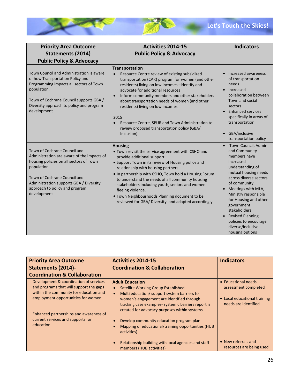

| <b>Priority Area Outcome</b><br>Statements (2014)<br><b>Public Policy &amp; Advocacy</b>                                                                                                                                                                         | <b>Activities 2014-15</b><br><b>Public Policy &amp; Advocacy</b>                                                                                                                                                                                                                                                                                                                                                                                                                                         | <b>Indicators</b>                                                                                                                                                                                                                                                                                                                                   |
|------------------------------------------------------------------------------------------------------------------------------------------------------------------------------------------------------------------------------------------------------------------|----------------------------------------------------------------------------------------------------------------------------------------------------------------------------------------------------------------------------------------------------------------------------------------------------------------------------------------------------------------------------------------------------------------------------------------------------------------------------------------------------------|-----------------------------------------------------------------------------------------------------------------------------------------------------------------------------------------------------------------------------------------------------------------------------------------------------------------------------------------------------|
| Town Council and Administration is aware<br>of how Transportation Policy and<br>Programming impacts all sectors of Town<br>population.<br>Town of Cochrane Council supports GBA /<br>Diversity approach to policy and program<br>development                     | Transportation<br>Resource Centre review of existing subsidized<br>transportation (CAR) program for women (and other<br>residents) living on low incomes -identify and<br>advocate for additional resources<br>Inform community members and other stakeholders<br>$\bullet$<br>about transportation needs of women (and other<br>residents) living on low incomes<br>2015<br>Resource Centre, SPUR and Town Administration to<br>$\bullet$<br>review proposed transportation policy (GBA/<br>Inclusion). | Increased awareness<br>of transportation<br>needs<br>Increased<br>collaboration between<br>Town and social<br>sectors<br><b>Enhanced services</b><br>specifically in areas of<br>transportation<br>GBA/inclusive<br>$\bullet$<br>transportation policy                                                                                              |
| Town of Cochrane Council and<br>Administration are aware of the impacts of<br>housing policies on all sectors of Town<br>population.<br>Town of Cochrane Council and<br>Administration supports GBA / Diversity<br>approach to policy and program<br>development | <b>Housing</b><br>• Town revisit the service agreement with CSHO and<br>provide additional support.<br>• Support Town in its review of Housing policy and<br>relationship with housing partners.<br>. In partnership with CSHO, Town hold a Housing Forum<br>to understand the needs of all community housing<br>stakeholders including youth, seniors and women<br>fleeing violence.<br>. Town Neighbourhoods Planning document to be<br>reviewed for GBA/ Diversity and adapted accordingly            | Town Council, Admin<br>and Community<br>members have<br>increased<br>understanding of<br>mutual housing needs<br>across diverse sectors<br>of community<br>Meetings with MLA,<br>Ministry responsible<br>for Housing and other<br>government<br>stakeholders<br>• Revised Planning<br>policies to encourage<br>diverse/inclusive<br>housing options |

 $\sim$ 

| <b>Priority Area Outcome</b><br>Statements (2014)-                                                                          | <b>Activities 2014-15</b><br><b>Coordination &amp; Collaboration</b>                                                                             | <b>Indicators</b>                                    |
|-----------------------------------------------------------------------------------------------------------------------------|--------------------------------------------------------------------------------------------------------------------------------------------------|------------------------------------------------------|
| <b>Coordination &amp; Collaboration</b>                                                                                     |                                                                                                                                                  |                                                      |
| Development & coordination of services<br>and programs that will support the gaps<br>within the community for education and | <b>Adult Education</b><br><b>Satellite Working Group Established</b><br>$\bullet$<br>Multi education/ support system barriers to<br>$\bullet$    | • Educational needs<br>assessment completed          |
| employment opportunities for women<br>Enhanced partnerships and awareness of                                                | women's engagement are identified through<br>tracking case examples- systemic barriers report is<br>created for advocacy purposes within systems | • Local educational training<br>needs are identified |
| current services and supports for                                                                                           | Develop community education program plan                                                                                                         |                                                      |
| education                                                                                                                   | Mapping of educational/training opportunities (HUB<br>activities)                                                                                |                                                      |
|                                                                                                                             | Relationship building with local agencies and staff<br>members (HUB activities)                                                                  | • New referrals and<br>resources are being used      |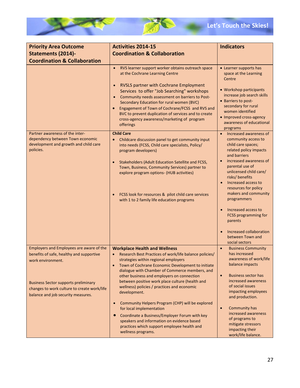

| <b>Priority Area Outcome</b>                                                                                                                                                                                                                  | <b>Activities 2014-15</b>                                                                                                                                                                                                                                                                                                                                                                                                                                                                                                                                                                                                                                                                   | <b>Indicators</b>                                                                                                                                                                                                                                                                                                                                                                                                                                  |
|-----------------------------------------------------------------------------------------------------------------------------------------------------------------------------------------------------------------------------------------------|---------------------------------------------------------------------------------------------------------------------------------------------------------------------------------------------------------------------------------------------------------------------------------------------------------------------------------------------------------------------------------------------------------------------------------------------------------------------------------------------------------------------------------------------------------------------------------------------------------------------------------------------------------------------------------------------|----------------------------------------------------------------------------------------------------------------------------------------------------------------------------------------------------------------------------------------------------------------------------------------------------------------------------------------------------------------------------------------------------------------------------------------------------|
| Statements (2014)-                                                                                                                                                                                                                            | <b>Coordination &amp; Collaboration</b>                                                                                                                                                                                                                                                                                                                                                                                                                                                                                                                                                                                                                                                     |                                                                                                                                                                                                                                                                                                                                                                                                                                                    |
| <b>Coordination &amp; Collaboration</b>                                                                                                                                                                                                       |                                                                                                                                                                                                                                                                                                                                                                                                                                                                                                                                                                                                                                                                                             |                                                                                                                                                                                                                                                                                                                                                                                                                                                    |
|                                                                                                                                                                                                                                               | RVS learner support worker obtains outreach space<br>$\bullet$<br>at the Cochrane Learning Centre<br>RVSLS partner with Cochrane Employment<br>$\bullet$<br>Services to offer "Job Searching" workshops<br>Community needs assessment on barriers to Post-<br>$\bullet$<br>Secondary Education for rural women (BVC)<br>Engagement of Town of Cochrane/FCSS and RVS and<br>$\bullet$<br>BVC to prevent duplication of services and to create<br>cross-agency awareness/marketing of program<br>offerings                                                                                                                                                                                    | • Learner supports has<br>space at the Learning<br>Centre<br>• Workshop participants<br>increase job search skills<br>• Barriers to post-<br>secondary for rural<br>women identified<br>• Improved cross-agency<br>awareness of educational<br>programs                                                                                                                                                                                            |
| Partner awareness of the inter-<br>dependency between Town economic<br>development and growth and child care<br>policies.                                                                                                                     | <b>Child Care</b><br>Childcare discussion panel to get community input<br>into needs (FCSS, Child care specialists, Policy/<br>program developers)<br>Stakeholders (Adult Education Satellite and FCSS,<br>$\bullet$<br>Town, Business, Community Services) partner to<br>explore program options- (HUB activities)<br>FCSS look for resources & pilot child care services<br>$\bullet$<br>with 1 to 2 family life education programs                                                                                                                                                                                                                                                       | Increased awareness of<br>community access to<br>child care spaces;<br>related policy impacts<br>and barriers<br>increased awareness of<br>$\bullet$<br>parental use of<br>unlicensed child care/<br>risks/ benefits<br>Increased access to<br>$\bullet$<br>resources for policy<br>makers and community<br>programmers<br>Increased access to<br>FCSS programming for<br>parents<br>Increased collaboration<br>between Town and<br>social sectors |
| Employers and Employees are aware of the<br>benefits of safe, healthy and supportive<br>work environment.<br><b>Business Sector supports preliminary</b><br>changes to work culture to create work/life<br>balance and job security measures. | <b>Workplace Health and Wellness</b><br>Research Best Practices of work/life balance policies/<br>strategies within regional employers<br>Town of Cochrane Economic Development to initiate<br>dialogue with Chamber of Commerce members, and<br>other business and employers on connection<br>between positive work place culture (health and<br>wellness) policies / practices and economic<br>development.<br>Community Helpers Program (CHP) will be explored<br>$\bullet$<br>for local implementation<br>Coordinate a Business/Employer Forum with key<br>$\bullet$<br>speakers and information on evidence based<br>practices which support employee health and<br>wellness programs. | <b>Business Community</b><br>$\bullet$<br>has increased<br>awareness of work/life<br>balance impacts<br><b>Business sector has</b><br>$\bullet$<br>increased awareness<br>of social issues<br>impacting employees<br>and production.<br>Community has<br>$\bullet$<br>increased awareness<br>of programs to<br>mitigate stressors<br>impacting their<br>work/life balance.                                                                         |